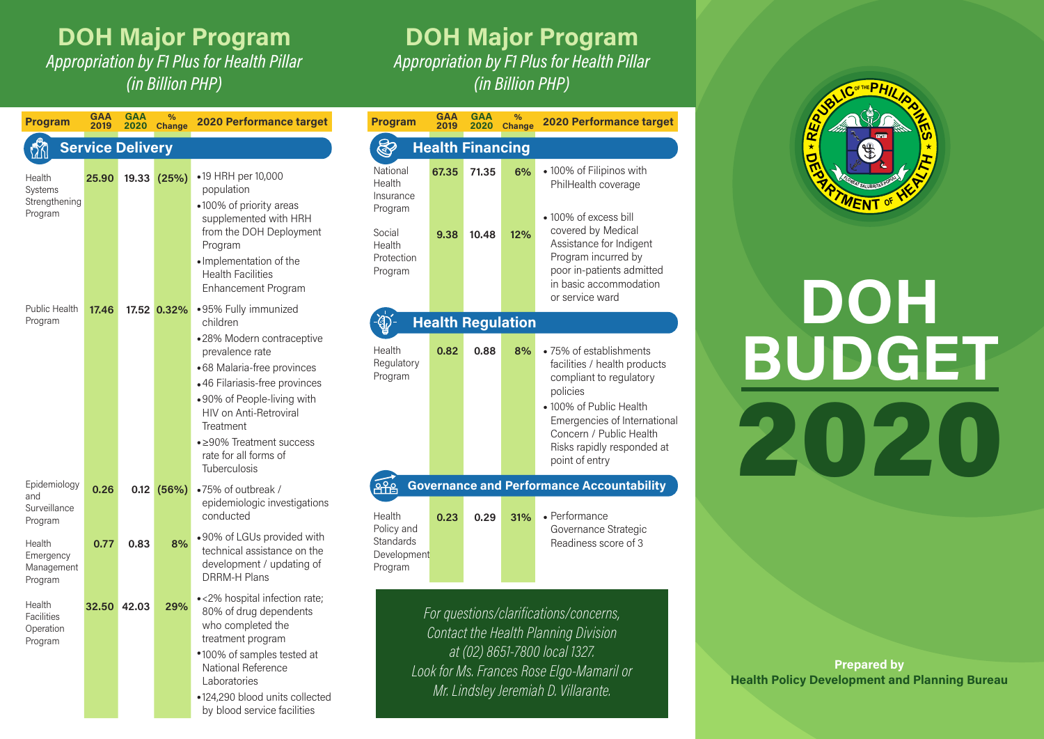## **DOH Major Program**

Appropriation by F1 Plus for Health Pillar (in Billion PHP)

## **DOH Major Program**

Appropriation by F1 Plus for Health Pillar (in Billion PHP)

| <b>Program</b>                                      | <b>GAA</b><br>2019           | <b>GAA</b><br>2020 | %<br><b>Change</b> | <b>2020 Performance target</b>                                                                                                                                                                                                                               | <b>Program</b>                                                                                                      | <b>GAA</b><br>2019 | <b>GAA</b><br>2020                 | %<br><b>Chang</b> |
|-----------------------------------------------------|------------------------------|--------------------|--------------------|--------------------------------------------------------------------------------------------------------------------------------------------------------------------------------------------------------------------------------------------------------------|---------------------------------------------------------------------------------------------------------------------|--------------------|------------------------------------|-------------------|
| <b>Service Delivery</b>                             | Ş<br><b>Health Financing</b> |                    |                    |                                                                                                                                                                                                                                                              |                                                                                                                     |                    |                                    |                   |
| Health<br>Systems<br>Strengthening<br>Program       | 25.90                        | 19.33              | (25%)              | •19 HRH per 10,000<br>population<br>•100% of priority areas<br>supplemented with HRH<br>from the DOH Deployment<br>Program<br>· Implementation of the<br><b>Health Facilities</b><br><b>Enhancement Program</b>                                              | National<br>Health<br>Insurance<br>Program<br>Social<br>Health<br>Protection<br>Program                             | 67.35<br>9.38      | 71.35<br>10.48                     | 6%<br>12%         |
| <b>Public Health</b><br>Program                     | 17.46                        |                    | 17.52 0.32%        | •95% Fully immunized<br>children                                                                                                                                                                                                                             |                                                                                                                     |                    | <b>Health Regulation</b>           |                   |
| Epidemiology                                        |                              |                    |                    | •28% Modern contraceptive<br>prevalence rate<br>•68 Malaria-free provinces<br>•46 Filariasis-free provinces<br>.90% of People-living with<br><b>HIV on Anti-Retroviral</b><br>Treatment<br>• ≥90% Treatment success<br>rate for all forms of<br>Tuberculosis | Health<br>Regulatory<br>Program                                                                                     | 0.82               | 0.88<br><b>Governance and Perf</b> | 8%                |
| and<br>Surveillance<br>Program                      | 0.26                         | 0.12               | (56%)              | .75% of outbreak /<br>epidemiologic investigations<br>conducted                                                                                                                                                                                              | Health                                                                                                              | 0.23               | 0.29                               | 31%               |
| Health<br>Emergency<br>Management<br>Program        | 0.77                         | 0.83               | 8%                 | •90% of LGUs provided with<br>technical assistance on the<br>development / updating of<br>DRRM-H Plans                                                                                                                                                       | Policy and<br>Standards<br>Development<br>Program                                                                   |                    |                                    |                   |
| Health<br><b>Facilities</b><br>Operation<br>Program | 32.50                        | 42.03              | 29%                | •<2% hospital infection rate;<br>80% of drug dependents<br>who completed the<br>treatment program<br>*100% of samples tested at<br>National Reference<br>Laboratories<br>•124,290 blood units collected<br>by blood service facilities                       | For questions/clarific<br>Contact the Health I<br>at (02) 8651-780<br>Look for Ms, Frances R<br>Mr. Lindsley Jerem. |                    |                                    |                   |

| Program                                                     | <b>GAA</b><br>2019 | <b>GAA</b><br>2020      | $\frac{9}{6}$<br>Change  | <b>2020 Performance target</b>                                                                                                                                                                                                       |
|-------------------------------------------------------------|--------------------|-------------------------|--------------------------|--------------------------------------------------------------------------------------------------------------------------------------------------------------------------------------------------------------------------------------|
|                                                             |                    | <b>Health Financing</b> |                          |                                                                                                                                                                                                                                      |
| National<br>Health<br>Insurance<br>Program<br>Social        | 67.35<br>9.38      | 71.35<br>10.48          | 6%<br>12%                | • 100% of Filipinos with<br>PhilHealth coverage<br>• 100% of excess bill<br>covered by Medical                                                                                                                                       |
| Health<br>Protection<br>Program                             |                    |                         |                          | Assistance for Indigent<br>Program incurred by<br>poor in-patients admitted<br>in basic accommodation<br>or service ward                                                                                                             |
|                                                             |                    |                         | <b>Health Regulation</b> |                                                                                                                                                                                                                                      |
| Health<br>Regulatory<br>Program                             | 0.82               | 0.88                    | 8%                       | • 75% of establishments<br>facilities / health products<br>compliant to regulatory<br>policies<br>· 100% of Public Health<br>Emergencies of International<br>Concern / Public Health<br>Risks rapidly responded at<br>point of entry |
| ႖ၣၣ                                                         |                    |                         |                          | <b>Governance and Performance Accountability</b>                                                                                                                                                                                     |
| Health<br>Policy and<br>Standards<br>Development<br>Program | 0.23               | 0.29                    | 31%                      | • Performance<br>Governance Strategic<br>Readiness score of 3                                                                                                                                                                        |
|                                                             |                    |                         |                          | For questions/clarifications/concerns,<br>Contact the Health Planning Division<br>ot (N2) 8651_7800 local 1327                                                                                                                       |



**BUDGET** DOH 2020

at (02) 8651-7800 local 1327. Look for Ms. Frances Rose Elgo-Mamaril or Mr. Lindsley Jeremiah D. Villarante.

**Health Policy Development and Planning Bureau Prepared by**